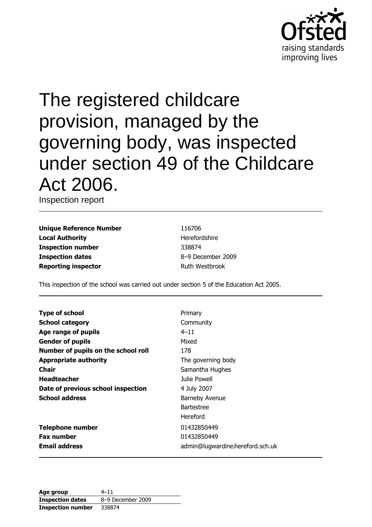

# The registered childcare provision, managed by the governing body, was inspected under section 49 of the Childcare Act 2006.

Inspection report

**Unique Reference Number Local Authority Inspection number Inspection dates Reporting inspector** 

116706 Herefordshire 338874 8-9 December 2009 **Ruth Westbrook** 

This inspection of the school was carried out under section 5 of the Education Act 2005.

| <b>Type of school</b>               | Primary                          |
|-------------------------------------|----------------------------------|
| <b>School category</b>              | Community                        |
| Age range of pupils                 | $4 - 11$                         |
| <b>Gender of pupils</b>             | Mixed                            |
| Number of pupils on the school roll | 178                              |
| <b>Appropriate authority</b>        | The governing body               |
| Chair                               | Samantha Hughes                  |
| <b>Headteacher</b>                  | Julie Powell                     |
| Date of previous school inspection  | 4 July 2007                      |
| <b>School address</b>               | <b>Barneby Avenue</b>            |
|                                     | <b>Bartestree</b>                |
|                                     | Hereford                         |
| <b>Telephone number</b>             | 01432850449                      |
| <b>Fax number</b>                   | 01432850449                      |
| <b>Email address</b>                | admin@lugwardine.hereford.sch.uk |

| Age group                | 4–11              |
|--------------------------|-------------------|
| <b>Inspection dates</b>  | 8-9 December 2009 |
| <b>Inspection number</b> | 338874            |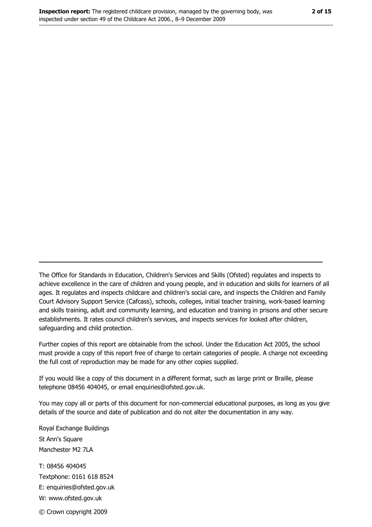The Office for Standards in Education, Children's Services and Skills (Ofsted) regulates and inspects to achieve excellence in the care of children and young people, and in education and skills for learners of all ages. It regulates and inspects childcare and children's social care, and inspects the Children and Family Court Advisory Support Service (Cafcass), schools, colleges, initial teacher training, work-based learning and skills training, adult and community learning, and education and training in prisons and other secure establishments. It rates council children's services, and inspects services for looked after children, safequarding and child protection.

Further copies of this report are obtainable from the school. Under the Education Act 2005, the school must provide a copy of this report free of charge to certain categories of people. A charge not exceeding the full cost of reproduction may be made for any other copies supplied.

If you would like a copy of this document in a different format, such as large print or Braille, please telephone 08456 404045, or email enquiries@ofsted.gov.uk.

You may copy all or parts of this document for non-commercial educational purposes, as long as you give details of the source and date of publication and do not alter the documentation in any way.

Royal Exchange Buildings St Ann's Square Manchester M2 7LA T: 08456 404045 Textphone: 0161 618 8524 E: enquiries@ofsted.gov.uk W: www.ofsted.gov.uk © Crown copyright 2009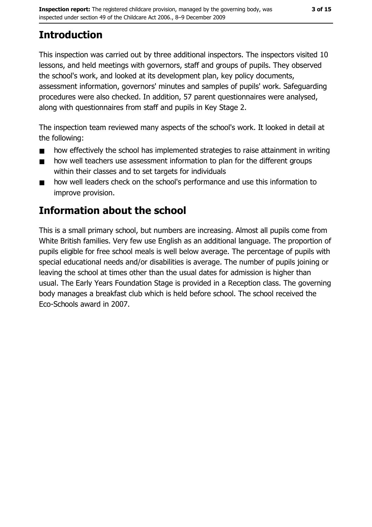# **Introduction**

This inspection was carried out by three additional inspectors. The inspectors visited 10 lessons, and held meetings with governors, staff and groups of pupils. They observed the school's work, and looked at its development plan, key policy documents, assessment information, governors' minutes and samples of pupils' work. Safeguarding procedures were also checked. In addition, 57 parent questionnaires were analysed, along with questionnaires from staff and pupils in Key Stage 2.

The inspection team reviewed many aspects of the school's work. It looked in detail at the following:

- how effectively the school has implemented strategies to raise attainment in writing  $\blacksquare$
- how well teachers use assessment information to plan for the different groups  $\blacksquare$ within their classes and to set targets for individuals
- how well leaders check on the school's performance and use this information to  $\blacksquare$ improve provision.

# **Information about the school**

This is a small primary school, but numbers are increasing. Almost all pupils come from White British families. Very few use English as an additional language. The proportion of pupils eligible for free school meals is well below average. The percentage of pupils with special educational needs and/or disabilities is average. The number of pupils joining or leaving the school at times other than the usual dates for admission is higher than usual. The Early Years Foundation Stage is provided in a Reception class. The governing body manages a breakfast club which is held before school. The school received the Eco-Schools award in 2007.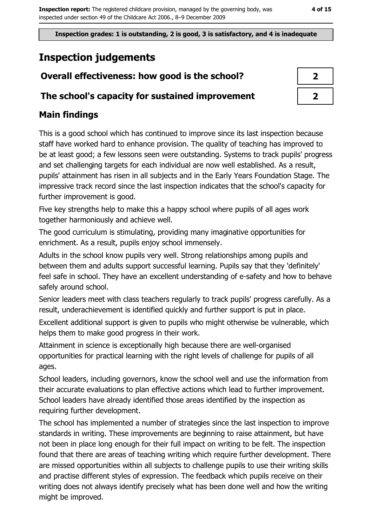Inspection grades: 1 is outstanding, 2 is good, 3 is satisfactory, and 4 is inadequate

# **Inspection judgements**

## Overall effectiveness: how good is the school?

#### The school's capacity for sustained improvement

## **Main findings**

This is a good school which has continued to improve since its last inspection because staff have worked hard to enhance provision. The quality of teaching has improved to be at least good; a few lessons seen were outstanding. Systems to track pupils' progress and set challenging targets for each individual are now well established. As a result, pupils' attainment has risen in all subjects and in the Early Years Foundation Stage. The impressive track record since the last inspection indicates that the school's capacity for further improvement is good.

Five key strengths help to make this a happy school where pupils of all ages work together harmoniously and achieve well.

The good curriculum is stimulating, providing many imaginative opportunities for enrichment. As a result, pupils enjoy school immensely.

Adults in the school know pupils very well. Strong relationships among pupils and between them and adults support successful learning. Pupils say that they 'definitely' feel safe in school. They have an excellent understanding of e-safety and how to behave safely around school.

Senior leaders meet with class teachers regularly to track pupils' progress carefully. As a result, underachievement is identified quickly and further support is put in place.

Excellent additional support is given to pupils who might otherwise be vulnerable, which helps them to make good progress in their work.

Attainment in science is exceptionally high because there are well-organised opportunities for practical learning with the right levels of challenge for pupils of all ages.

School leaders, including governors, know the school well and use the information from their accurate evaluations to plan effective actions which lead to further improvement. School leaders have already identified those areas identified by the inspection as requiring further development.

The school has implemented a number of strategies since the last inspection to improve standards in writing. These improvements are beginning to raise attainment, but have not been in place long enough for their full impact on writing to be felt. The inspection found that there are areas of teaching writing which require further development. There are missed opportunities within all subjects to challenge pupils to use their writing skills and practise different styles of expression. The feedback which pupils receive on their writing does not always identify precisely what has been done well and how the writing might be improved.

| 1 |  |
|---|--|
| 7 |  |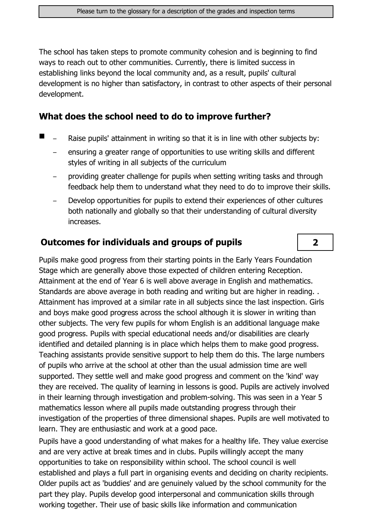The school has taken steps to promote community cohesion and is beginning to find ways to reach out to other communities. Currently, there is limited success in establishing links beyond the local community and, as a result, pupils' cultural development is no higher than satisfactory, in contrast to other aspects of their personal development.

#### What does the school need to do to improve further?

- Raise pupils' attainment in writing so that it is in line with other subjects by:
	- ensuring a greater range of opportunities to use writing skills and different styles of writing in all subjects of the curriculum
	- providing greater challenge for pupils when setting writing tasks and through feedback help them to understand what they need to do to improve their skills.
	- Develop opportunities for pupils to extend their experiences of other cultures both nationally and globally so that their understanding of cultural diversity increases.

 $2<sup>1</sup>$ 

#### **Outcomes for individuals and groups of pupils**

Pupils make good progress from their starting points in the Early Years Foundation Stage which are generally above those expected of children entering Reception. Attainment at the end of Year 6 is well above average in English and mathematics. Standards are above average in both reading and writing but are higher in reading.. Attainment has improved at a similar rate in all subjects since the last inspection. Girls and boys make good progress across the school although it is slower in writing than other subjects. The very few pupils for whom English is an additional language make good progress. Pupils with special educational needs and/or disabilities are clearly identified and detailed planning is in place which helps them to make good progress. Teaching assistants provide sensitive support to help them do this. The large numbers of pupils who arrive at the school at other than the usual admission time are well supported. They settle well and make good progress and comment on the 'kind' way they are received. The quality of learning in lessons is good. Pupils are actively involved in their learning through investigation and problem-solving. This was seen in a Year 5 mathematics lesson where all pupils made outstanding progress through their investigation of the properties of three dimensional shapes. Pupils are well motivated to learn. They are enthusiastic and work at a good pace.

Pupils have a good understanding of what makes for a healthy life. They value exercise and are very active at break times and in clubs. Pupils willingly accept the many opportunities to take on responsibility within school. The school council is well established and plays a full part in organising events and deciding on charity recipients. Older pupils act as 'buddies' and are genuinely valued by the school community for the part they play. Pupils develop good interpersonal and communication skills through working together. Their use of basic skills like information and communication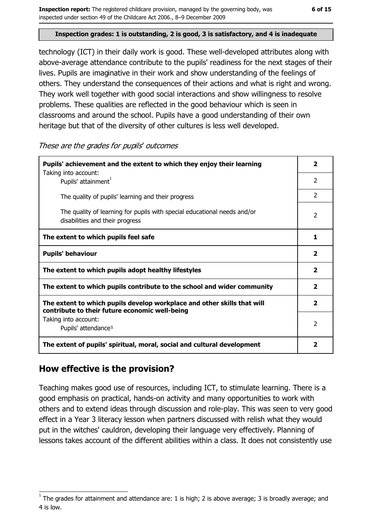#### Inspection grades: 1 is outstanding, 2 is good, 3 is satisfactory, and 4 is inadequate

technology (ICT) in their daily work is good. These well-developed attributes along with above-average attendance contribute to the pupils' readiness for the next stages of their lives. Pupils are imaginative in their work and show understanding of the feelings of others. They understand the consequences of their actions and what is right and wrong. They work well together with good social interactions and show willingness to resolve problems. These qualities are reflected in the good behaviour which is seen in classrooms and around the school. Pupils have a good understanding of their own heritage but that of the diversity of other cultures is less well developed.

These are the grades for pupils' outcomes

| Pupils' achievement and the extent to which they enjoy their learning                                                     |                         |
|---------------------------------------------------------------------------------------------------------------------------|-------------------------|
| Taking into account:<br>Pupils' attainment <sup>1</sup>                                                                   | $\overline{2}$          |
| The quality of pupils' learning and their progress                                                                        | $\mathcal{P}$           |
| The quality of learning for pupils with special educational needs and/or<br>disabilities and their progress               | $\overline{2}$          |
| The extent to which pupils feel safe                                                                                      | 1                       |
| <b>Pupils' behaviour</b>                                                                                                  |                         |
| The extent to which pupils adopt healthy lifestyles                                                                       | $\overline{\mathbf{2}}$ |
| The extent to which pupils contribute to the school and wider community                                                   |                         |
| The extent to which pupils develop workplace and other skills that will<br>contribute to their future economic well-being | $\overline{\mathbf{2}}$ |
| Taking into account:<br>Pupils' attendance <sup>1</sup>                                                                   | $\overline{2}$          |
| The extent of pupils' spiritual, moral, social and cultural development                                                   |                         |

#### How effective is the provision?

Teaching makes good use of resources, including ICT, to stimulate learning. There is a good emphasis on practical, hands-on activity and many opportunities to work with others and to extend ideas through discussion and role-play. This was seen to very good effect in a Year 3 literacy lesson when partners discussed with relish what they would put in the witches' cauldron, developing their language very effectively. Planning of lessons takes account of the different abilities within a class. It does not consistently use

The grades for attainment and attendance are: 1 is high; 2 is above average; 3 is broadly average; and 4 is low.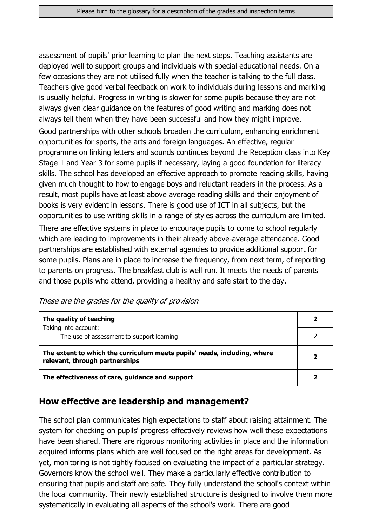assessment of pupils' prior learning to plan the next steps. Teaching assistants are deployed well to support groups and individuals with special educational needs. On a few occasions they are not utilised fully when the teacher is talking to the full class. Teachers give good verbal feedback on work to individuals during lessons and marking is usually helpful. Progress in writing is slower for some pupils because they are not always given clear guidance on the features of good writing and marking does not always tell them when they have been successful and how they might improve.

Good partnerships with other schools broaden the curriculum, enhancing enrichment opportunities for sports, the arts and foreign languages. An effective, regular programme on linking letters and sounds continues beyond the Reception class into Key Stage 1 and Year 3 for some pupils if necessary, laying a good foundation for literacy skills. The school has developed an effective approach to promote reading skills, having given much thought to how to engage boys and reluctant readers in the process. As a result, most pupils have at least above average reading skills and their enjoyment of books is very evident in lessons. There is good use of ICT in all subjects, but the opportunities to use writing skills in a range of styles across the curriculum are limited. There are effective systems in place to encourage pupils to come to school regularly which are leading to improvements in their already above-average attendance. Good partnerships are established with external agencies to provide additional support for some pupils. Plans are in place to increase the frequency, from next term, of reporting to parents on progress. The breakfast club is well run. It meets the needs of parents and those pupils who attend, providing a healthy and safe start to the day.

These are the grades for the quality of provision

| The quality of teaching                                                                                    |  |
|------------------------------------------------------------------------------------------------------------|--|
| Taking into account:                                                                                       |  |
| The use of assessment to support learning                                                                  |  |
| The extent to which the curriculum meets pupils' needs, including, where<br>relevant, through partnerships |  |
| The effectiveness of care, guidance and support                                                            |  |

#### How effective are leadership and management?

The school plan communicates high expectations to staff about raising attainment. The system for checking on pupils' progress effectively reviews how well these expectations have been shared. There are rigorous monitoring activities in place and the information acquired informs plans which are well focused on the right areas for development. As yet, monitoring is not tightly focused on evaluating the impact of a particular strategy. Governors know the school well. They make a particularly effective contribution to ensuring that pupils and staff are safe. They fully understand the school's context within the local community. Their newly established structure is designed to involve them more systematically in evaluating all aspects of the school's work. There are good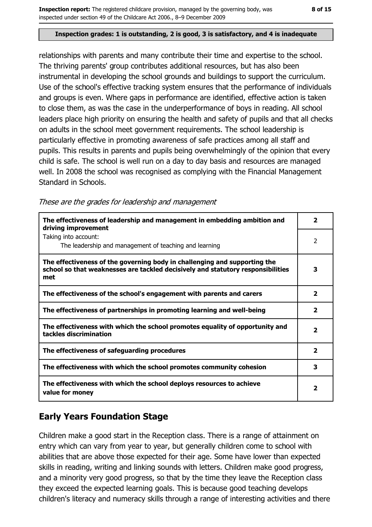#### Inspection grades: 1 is outstanding, 2 is good, 3 is satisfactory, and 4 is inadequate

relationships with parents and many contribute their time and expertise to the school. The thriving parents' group contributes additional resources, but has also been instrumental in developing the school grounds and buildings to support the curriculum. Use of the school's effective tracking system ensures that the performance of individuals and groups is even. Where gaps in performance are identified, effective action is taken to close them, as was the case in the underperformance of boys in reading. All school leaders place high priority on ensuring the health and safety of pupils and that all checks on adults in the school meet government requirements. The school leadership is particularly effective in promoting awareness of safe practices among all staff and pupils. This results in parents and pupils being overwhelmingly of the opinion that every child is safe. The school is well run on a day to day basis and resources are managed well. In 2008 the school was recognised as complying with the Financial Management Standard in Schools.

These are the grades for leadership and management

| The effectiveness of leadership and management in embedding ambition and<br>driving improvement                                                                     | 2                       |
|---------------------------------------------------------------------------------------------------------------------------------------------------------------------|-------------------------|
| Taking into account:<br>The leadership and management of teaching and learning                                                                                      | 2                       |
| The effectiveness of the governing body in challenging and supporting the<br>school so that weaknesses are tackled decisively and statutory responsibilities<br>met | 3                       |
| The effectiveness of the school's engagement with parents and carers                                                                                                | $\overline{2}$          |
| The effectiveness of partnerships in promoting learning and well-being                                                                                              | $\overline{2}$          |
| The effectiveness with which the school promotes equality of opportunity and<br>tackles discrimination                                                              | $\overline{\mathbf{2}}$ |
| The effectiveness of safeguarding procedures                                                                                                                        | $\overline{2}$          |
| The effectiveness with which the school promotes community cohesion                                                                                                 | 3                       |
| The effectiveness with which the school deploys resources to achieve<br>value for money                                                                             | $\overline{\mathbf{2}}$ |

### **Early Years Foundation Stage**

Children make a good start in the Reception class. There is a range of attainment on entry which can vary from year to year, but generally children come to school with abilities that are above those expected for their age. Some have lower than expected skills in reading, writing and linking sounds with letters. Children make good progress, and a minority very good progress, so that by the time they leave the Reception class they exceed the expected learning goals. This is because good teaching develops children's literacy and numeracy skills through a range of interesting activities and there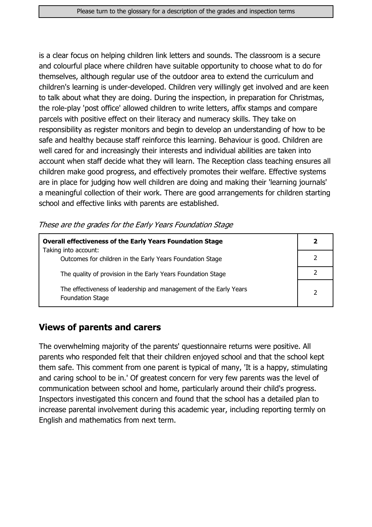is a clear focus on helping children link letters and sounds. The classroom is a secure and colourful place where children have suitable opportunity to choose what to do for themselves, although regular use of the outdoor area to extend the curriculum and children's learning is under-developed. Children very willingly get involved and are keen to talk about what they are doing. During the inspection, in preparation for Christmas, the role-play 'post office' allowed children to write letters, affix stamps and compare parcels with positive effect on their literacy and numeracy skills. They take on responsibility as register monitors and begin to develop an understanding of how to be safe and healthy because staff reinforce this learning. Behaviour is good. Children are well cared for and increasingly their interests and individual abilities are taken into account when staff decide what they will learn. The Reception class teaching ensures all children make good progress, and effectively promotes their welfare. Effective systems are in place for judging how well children are doing and making their 'learning journals' a meaningful collection of their work. There are good arrangements for children starting school and effective links with parents are established.

These are the grades for the Early Years Foundation Stage

| <b>Overall effectiveness of the Early Years Foundation Stage</b>                             |   |
|----------------------------------------------------------------------------------------------|---|
| Taking into account:<br>Outcomes for children in the Early Years Foundation Stage            |   |
| The quality of provision in the Early Years Foundation Stage                                 |   |
| The effectiveness of leadership and management of the Early Years<br><b>Foundation Stage</b> | っ |

#### **Views of parents and carers**

The overwhelming majority of the parents' questionnaire returns were positive. All parents who responded felt that their children enjoyed school and that the school kept them safe. This comment from one parent is typical of many, 'It is a happy, stimulating and caring school to be in.' Of greatest concern for very few parents was the level of communication between school and home, particularly around their child's progress. Inspectors investigated this concern and found that the school has a detailed plan to increase parental involvement during this academic year, including reporting termly on English and mathematics from next term.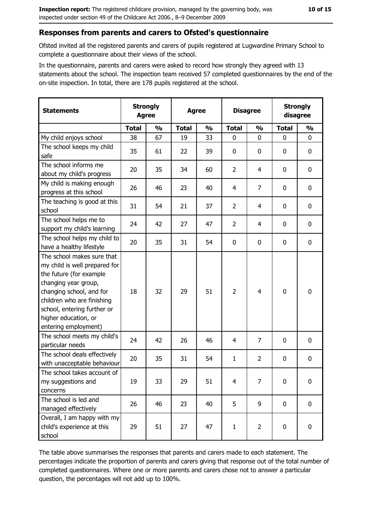#### Responses from parents and carers to Ofsted's questionnaire

Ofsted invited all the registered parents and carers of pupils registered at Lugwardine Primary School to complete a questionnaire about their views of the school.

In the questionnaire, parents and carers were asked to record how strongly they agreed with 13 statements about the school. The inspection team received 57 completed questionnaires by the end of the on-site inspection. In total, there are 178 pupils registered at the school.

| <b>Statements</b>                                                                                                                                                                                                                                       | <b>Strongly</b><br><b>Agree</b> |               | <b>Agree</b> |               | <b>Disagree</b> |                | <b>Strongly</b><br>disagree |                  |
|---------------------------------------------------------------------------------------------------------------------------------------------------------------------------------------------------------------------------------------------------------|---------------------------------|---------------|--------------|---------------|-----------------|----------------|-----------------------------|------------------|
|                                                                                                                                                                                                                                                         | <b>Total</b>                    | $\frac{0}{0}$ | <b>Total</b> | $\frac{0}{0}$ | <b>Total</b>    | $\frac{0}{0}$  | <b>Total</b>                | $\frac{0}{0}$    |
| My child enjoys school                                                                                                                                                                                                                                  | 38                              | 67            | 19           | 33            | $\mathbf 0$     | 0              | 0                           | 0                |
| The school keeps my child<br>safe                                                                                                                                                                                                                       | 35                              | 61            | 22           | 39            | $\mathbf 0$     | 0              | 0                           | 0                |
| The school informs me<br>about my child's progress                                                                                                                                                                                                      | 20                              | 35            | 34           | 60            | $\overline{2}$  | 4              | $\Omega$                    | 0                |
| My child is making enough<br>progress at this school                                                                                                                                                                                                    | 26                              | 46            | 23           | 40            | 4               | 7              | 0                           | $\mathbf 0$      |
| The teaching is good at this<br>school                                                                                                                                                                                                                  | 31                              | 54            | 21           | 37            | $\overline{2}$  | 4              | 0                           | $\mathbf 0$      |
| The school helps me to<br>support my child's learning                                                                                                                                                                                                   | 24                              | 42            | 27           | 47            | $\overline{2}$  | 4              | 0                           | 0                |
| The school helps my child to<br>have a healthy lifestyle                                                                                                                                                                                                | 20                              | 35            | 31           | 54            | $\bf{0}$        | 0              | 0                           | $\boldsymbol{0}$ |
| The school makes sure that<br>my child is well prepared for<br>the future (for example<br>changing year group,<br>changing school, and for<br>children who are finishing<br>school, entering further or<br>higher education, or<br>entering employment) | 18                              | 32            | 29           | 51            | $\overline{2}$  | 4              | 0                           | $\mathbf 0$      |
| The school meets my child's<br>particular needs                                                                                                                                                                                                         | 24                              | 42            | 26           | 46            | 4               | 7              | 0                           | $\mathbf 0$      |
| The school deals effectively<br>with unacceptable behaviour                                                                                                                                                                                             | 20                              | 35            | 31           | 54            | $\mathbf{1}$    | $\overline{2}$ | 0                           | 0                |
| The school takes account of<br>my suggestions and<br>concerns                                                                                                                                                                                           | 19                              | 33            | 29           | 51            | 4               | 7              | 0                           | $\boldsymbol{0}$ |
| The school is led and<br>managed effectively                                                                                                                                                                                                            | 26                              | 46            | 23           | 40            | 5               | 9              | $\mathbf 0$                 | $\mathbf 0$      |
| Overall, I am happy with my<br>child's experience at this<br>school                                                                                                                                                                                     | 29                              | 51            | 27           | 47            | $\mathbf{1}$    | $\overline{2}$ | 0                           | $\mathbf 0$      |

The table above summarises the responses that parents and carers made to each statement. The percentages indicate the proportion of parents and carers giving that response out of the total number of completed questionnaires. Where one or more parents and carers chose not to answer a particular question, the percentages will not add up to 100%.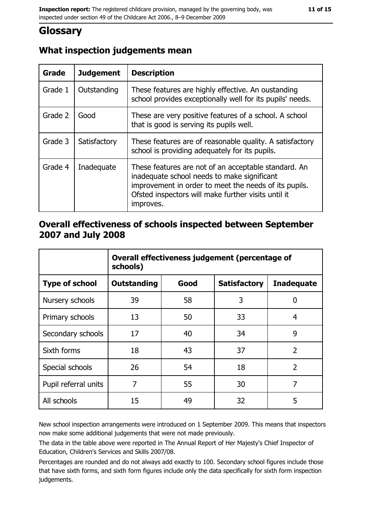# **Glossary**

| <b>Grade</b> | <b>Judgement</b> | <b>Description</b>                                                                                                                                                                                                               |
|--------------|------------------|----------------------------------------------------------------------------------------------------------------------------------------------------------------------------------------------------------------------------------|
| Grade 1      | Outstanding      | These features are highly effective. An oustanding<br>school provides exceptionally well for its pupils' needs.                                                                                                                  |
| Grade 2      | Good             | These are very positive features of a school. A school<br>that is good is serving its pupils well.                                                                                                                               |
| Grade 3      | Satisfactory     | These features are of reasonable quality. A satisfactory<br>school is providing adequately for its pupils.                                                                                                                       |
| Grade 4      | Inadequate       | These features are not of an acceptable standard. An<br>inadequate school needs to make significant<br>improvement in order to meet the needs of its pupils.<br>Ofsted inspectors will make further visits until it<br>improves. |

#### Overall effectiveness of schools inspected between September 2007 and July 2008

|                       | Overall effectiveness judgement (percentage of<br>schools) |      |                     |                   |
|-----------------------|------------------------------------------------------------|------|---------------------|-------------------|
| <b>Type of school</b> | <b>Outstanding</b>                                         | Good | <b>Satisfactory</b> | <b>Inadequate</b> |
| Nursery schools       | 39                                                         | 58   | 3                   | 0                 |
| Primary schools       | 13                                                         | 50   | 33                  | 4                 |
| Secondary schools     | 17                                                         | 40   | 34                  | 9                 |
| Sixth forms           | 18                                                         | 43   | 37                  | $\overline{2}$    |
| Special schools       | 26                                                         | 54   | 18                  | $\overline{2}$    |
| Pupil referral units  | 7                                                          | 55   | 30                  | 7                 |
| All schools           | 15                                                         | 49   | 32                  | 5                 |

New school inspection arrangements were introduced on 1 September 2009. This means that inspectors now make some additional judgements that were not made previously.

The data in the table above were reported in The Annual Report of Her Majesty's Chief Inspector of Education, Children's Services and Skills 2007/08.

Percentages are rounded and do not always add exactly to 100. Secondary school figures include those that have sixth forms, and sixth form figures include only the data specifically for sixth form inspection judgements.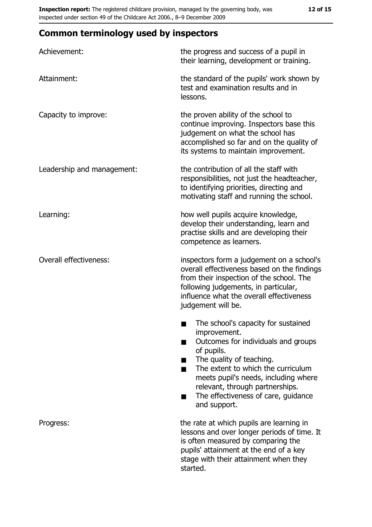# **Common terminology used by inspectors**

| Achievement:                  | the progress and success of a pupil in<br>their learning, development or training.                                                                                                                                                                                                                                |
|-------------------------------|-------------------------------------------------------------------------------------------------------------------------------------------------------------------------------------------------------------------------------------------------------------------------------------------------------------------|
| Attainment:                   | the standard of the pupils' work shown by<br>test and examination results and in<br>lessons.                                                                                                                                                                                                                      |
| Capacity to improve:          | the proven ability of the school to<br>continue improving. Inspectors base this<br>judgement on what the school has<br>accomplished so far and on the quality of<br>its systems to maintain improvement.                                                                                                          |
| Leadership and management:    | the contribution of all the staff with<br>responsibilities, not just the headteacher,<br>to identifying priorities, directing and<br>motivating staff and running the school.                                                                                                                                     |
| Learning:                     | how well pupils acquire knowledge,<br>develop their understanding, learn and<br>practise skills and are developing their<br>competence as learners.                                                                                                                                                               |
| <b>Overall effectiveness:</b> | inspectors form a judgement on a school's<br>overall effectiveness based on the findings<br>from their inspection of the school. The<br>following judgements, in particular,<br>influence what the overall effectiveness<br>judgement will be.                                                                    |
|                               | The school's capacity for sustained<br>٠<br>improvement.<br>Outcomes for individuals and groups<br>of pupils.<br>The quality of teaching.<br>The extent to which the curriculum<br>meets pupil's needs, including where<br>relevant, through partnerships.<br>The effectiveness of care, guidance<br>and support. |
| Progress:                     | the rate at which pupils are learning in<br>lessons and over longer periods of time. It<br>is often measured by comparing the<br>pupils' attainment at the end of a key<br>stage with their attainment when they<br>started.                                                                                      |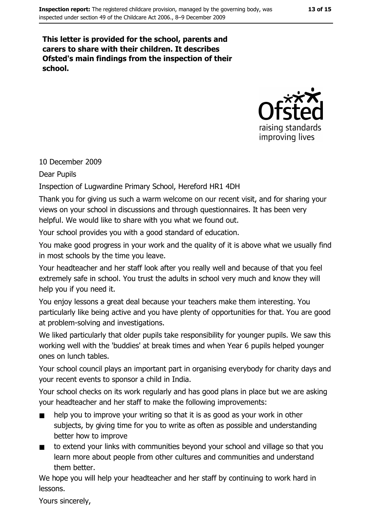#### This letter is provided for the school, parents and carers to share with their children. It describes Ofsted's main findings from the inspection of their school.



#### 10 December 2009

**Dear Pupils** 

Inspection of Lugwardine Primary School, Hereford HR1 4DH

Thank you for giving us such a warm welcome on our recent visit, and for sharing your views on your school in discussions and through questionnaires. It has been very helpful. We would like to share with you what we found out.

Your school provides you with a good standard of education.

You make good progress in your work and the quality of it is above what we usually find in most schools by the time you leave.

Your headteacher and her staff look after you really well and because of that you feel extremely safe in school. You trust the adults in school very much and know they will help you if you need it.

You enjoy lessons a great deal because your teachers make them interesting. You particularly like being active and you have plenty of opportunities for that. You are good at problem-solving and investigations.

We liked particularly that older pupils take responsibility for younger pupils. We saw this working well with the 'buddies' at break times and when Year 6 pupils helped younger ones on lunch tables.

Your school council plays an important part in organising everybody for charity days and your recent events to sponsor a child in India.

Your school checks on its work regularly and has good plans in place but we are asking your headteacher and her staff to make the following improvements:

- help you to improve your writing so that it is as good as your work in other subjects, by giving time for you to write as often as possible and understanding better how to improve
- to extend your links with communities beyond your school and village so that you  $\blacksquare$ learn more about people from other cultures and communities and understand them better.

We hope you will help your headteacher and her staff by continuing to work hard in lessons.

Yours sincerely,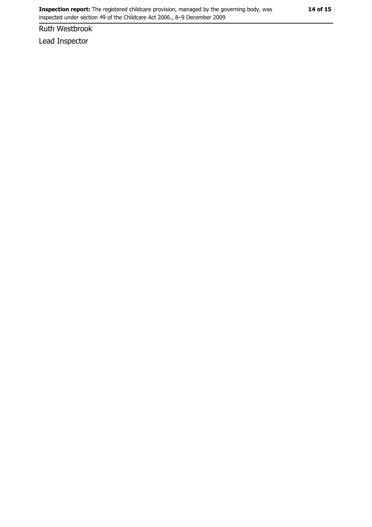Ruth Westbrook

Lead Inspector